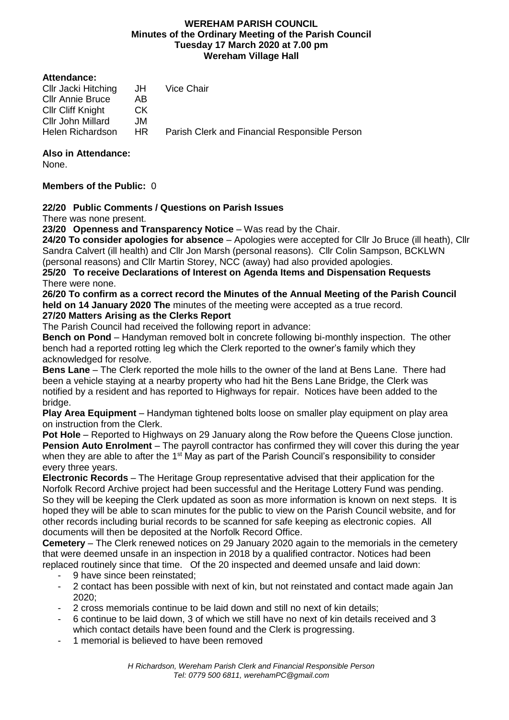## **WEREHAM PARISH COUNCIL Minutes of the Ordinary Meeting of the Parish Council Tuesday 17 March 2020 at 7.00 pm Wereham Village Hall**

#### **Attendance:**

| Cllr Jacki Hitching      | JH. | Vice Chair                                    |
|--------------------------|-----|-----------------------------------------------|
| <b>CIIr Annie Bruce</b>  | AB  |                                               |
| <b>Cllr Cliff Knight</b> | CK. |                                               |
| Cllr John Millard        | JM. |                                               |
| Helen Richardson         | HR. | Parish Clerk and Financial Responsible Person |
|                          |     |                                               |

## **Also in Attendance:**

None.

## **Members of the Public:** 0

## **22/20 Public Comments / Questions on Parish Issues**

There was none present.

**23/20 Openness and Transparency Notice** – Was read by the Chair.

**24/20 To consider apologies for absence** – Apologies were accepted for Cllr Jo Bruce (ill heath), Cllr Sandra Calvert (ill health) and Cllr Jon Marsh (personal reasons). Cllr Colin Sampson, BCKLWN (personal reasons) and Cllr Martin Storey, NCC (away) had also provided apologies.

**25/20 To receive Declarations of Interest on Agenda Items and Dispensation Requests**  There were none.

**26/20 To confirm as a correct record the Minutes of the Annual Meeting of the Parish Council held on 14 January 2020 The** minutes of the meeting were accepted as a true record. **27/20 Matters Arising as the Clerks Report**

The Parish Council had received the following report in advance:

**Bench on Pond** – Handyman removed bolt in concrete following bi-monthly inspection. The other bench had a reported rotting leg which the Clerk reported to the owner's family which they acknowledged for resolve.

**Bens Lane** – The Clerk reported the mole hills to the owner of the land at Bens Lane. There had been a vehicle staying at a nearby property who had hit the Bens Lane Bridge, the Clerk was notified by a resident and has reported to Highways for repair. Notices have been added to the bridge.

**Play Area Equipment** – Handyman tightened bolts loose on smaller play equipment on play area on instruction from the Clerk.

**Pot Hole** – Reported to Highways on 29 January along the Row before the Queens Close junction. **Pension Auto Enrolment** – The payroll contractor has confirmed they will cover this during the year when they are able to after the  $1<sup>st</sup>$  May as part of the Parish Council's responsibility to consider every three years.

**Electronic Records** – The Heritage Group representative advised that their application for the Norfolk Record Archive project had been successful and the Heritage Lottery Fund was pending. So they will be keeping the Clerk updated as soon as more information is known on next steps. It is hoped they will be able to scan minutes for the public to view on the Parish Council website, and for other records including burial records to be scanned for safe keeping as electronic copies. All documents will then be deposited at the Norfolk Record Office.

**Cemetery** – The Clerk renewed notices on 29 January 2020 again to the memorials in the cemetery that were deemed unsafe in an inspection in 2018 by a qualified contractor. Notices had been replaced routinely since that time. Of the 20 inspected and deemed unsafe and laid down:

- 9 have since been reinstated;
- 2 contact has been possible with next of kin, but not reinstated and contact made again Jan 2020;
- 2 cross memorials continue to be laid down and still no next of kin details;
- 6 continue to be laid down, 3 of which we still have no next of kin details received and 3 which contact details have been found and the Clerk is progressing.
- 1 memorial is believed to have been removed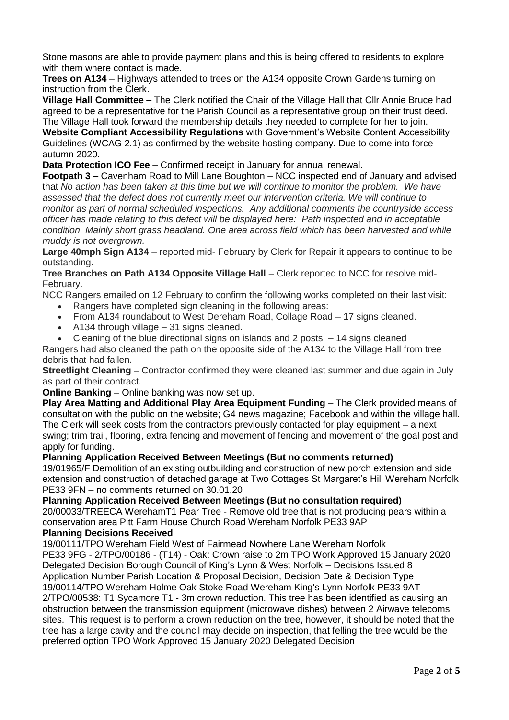Stone masons are able to provide payment plans and this is being offered to residents to explore with them where contact is made.

**Trees on A134** – Highways attended to trees on the A134 opposite Crown Gardens turning on instruction from the Clerk.

**Village Hall Committee –** The Clerk notified the Chair of the Village Hall that Cllr Annie Bruce had agreed to be a representative for the Parish Council as a representative group on their trust deed. The Village Hall took forward the membership details they needed to complete for her to join.

**Website Compliant Accessibility Regulations** with Government's Website Content Accessibility Guidelines (WCAG 2.1) as confirmed by the website hosting company. Due to come into force autumn 2020.

**Data Protection ICO Fee** – Confirmed receipt in January for annual renewal.

**Footpath 3 –** Cavenham Road to Mill Lane Boughton – NCC inspected end of January and advised that *No action has been taken at this time but we will continue to monitor the problem. We have assessed that the defect does not currently meet our intervention criteria. We will continue to monitor as part of normal scheduled inspections. Any additional comments the countryside access officer has made relating to this defect will be displayed here: Path inspected and in acceptable condition. Mainly short grass headland. One area across field which has been harvested and while muddy is not overgrown.*

**Large 40mph Sign A134** – reported mid- February by Clerk for Repair it appears to continue to be outstanding.

**Tree Branches on Path A134 Opposite Village Hall** – Clerk reported to NCC for resolve mid-February.

NCC Rangers emailed on 12 February to confirm the following works completed on their last visit:

- Rangers have completed sign cleaning in the following areas:
- From A134 roundabout to West Dereham Road, Collage Road 17 signs cleaned.
- A134 through village 31 signs cleaned.
- Cleaning of the blue directional signs on islands and 2 posts. 14 signs cleaned

Rangers had also cleaned the path on the opposite side of the A134 to the Village Hall from tree debris that had fallen.

**Streetlight Cleaning** – Contractor confirmed they were cleaned last summer and due again in July as part of their contract.

**Online Banking** – Online banking was now set up.

**Play Area Matting and Additional Play Area Equipment Funding** – The Clerk provided means of consultation with the public on the website; G4 news magazine; Facebook and within the village hall. The Clerk will seek costs from the contractors previously contacted for play equipment – a next swing; trim trail, flooring, extra fencing and movement of fencing and movement of the goal post and apply for funding.

## **Planning Application Received Between Meetings (But no comments returned)**

19/01965/F Demolition of an existing outbuilding and construction of new porch extension and side extension and construction of detached garage at Two Cottages St Margaret's Hill Wereham Norfolk PE33 9FN – no comments returned on 30.01.20

**Planning Application Received Between Meetings (But no consultation required)** 20/00033/TREECA WerehamT1 Pear Tree - Remove old tree that is not producing pears within a conservation area Pitt Farm House Church Road Wereham Norfolk PE33 9AP

## **Planning Decisions Received**

19/00111/TPO Wereham Field West of Fairmead Nowhere Lane Wereham Norfolk PE33 9FG - 2/TPO/00186 - (T14) - Oak: Crown raise to 2m TPO Work Approved 15 January 2020 Delegated Decision Borough Council of King's Lynn & West Norfolk – Decisions Issued 8 Application Number Parish Location & Proposal Decision, Decision Date & Decision Type

19/00114/TPO Wereham Holme Oak Stoke Road Wereham King's Lynn Norfolk PE33 9AT - 2/TPO/00538: T1 Sycamore T1 - 3m crown reduction. This tree has been identified as causing an obstruction between the transmission equipment (microwave dishes) between 2 Airwave telecoms sites. This request is to perform a crown reduction on the tree, however, it should be noted that the tree has a large cavity and the council may decide on inspection, that felling the tree would be the preferred option TPO Work Approved 15 January 2020 Delegated Decision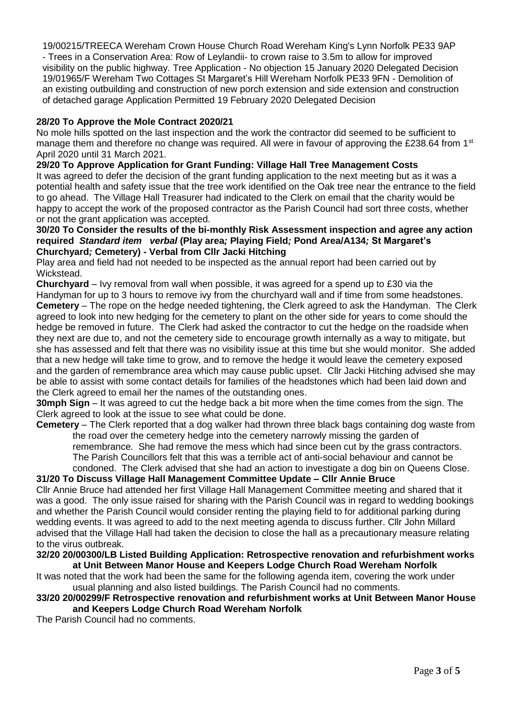19/00215/TREECA Wereham Crown House Church Road Wereham King's Lynn Norfolk PE33 9AP - Trees in a Conservation Area: Row of Leylandii- to crown raise to 3.5m to allow for improved visibility on the public highway. Tree Application - No objection 15 January 2020 Delegated Decision 19/01965/F Wereham Two Cottages St Margaret's Hill Wereham Norfolk PE33 9FN - Demolition of an existing outbuilding and construction of new porch extension and side extension and construction of detached garage Application Permitted 19 February 2020 Delegated Decision

## **28/20 To Approve the Mole Contract 2020/21**

No mole hills spotted on the last inspection and the work the contractor did seemed to be sufficient to manage them and therefore no change was required. All were in favour of approving the £238.64 from 1<sup>st</sup> April 2020 until 31 March 2021.

## **29/20 To Approve Application for Grant Funding: Village Hall Tree Management Costs**

It was agreed to defer the decision of the grant funding application to the next meeting but as it was a potential health and safety issue that the tree work identified on the Oak tree near the entrance to the field to go ahead. The Village Hall Treasurer had indicated to the Clerk on email that the charity would be happy to accept the work of the proposed contractor as the Parish Council had sort three costs, whether or not the grant application was accepted.

## **30/20 To Consider the results of the bi-monthly Risk Assessment inspection and agree any action required** *Standard item**verbal* **(Play area***;* **Playing Field***;* **Pond Area/A134***;* **St Margaret's Churchyard***;* **Cemetery) - Verbal from Cllr Jacki Hitching**

Play area and field had not needed to be inspected as the annual report had been carried out by Wickstead.

**Churchyard** – Ivy removal from wall when possible, it was agreed for a spend up to £30 via the Handyman for up to 3 hours to remove ivy from the churchyard wall and if time from some headstones. **Cemetery** – The rope on the hedge needed tightening, the Clerk agreed to ask the Handyman. The Clerk agreed to look into new hedging for the cemetery to plant on the other side for years to come should the hedge be removed in future. The Clerk had asked the contractor to cut the hedge on the roadside when they next are due to, and not the cemetery side to encourage growth internally as a way to mitigate, but she has assessed and felt that there was no visibility issue at this time but she would monitor. She added that a new hedge will take time to grow, and to remove the hedge it would leave the cemetery exposed and the garden of remembrance area which may cause public upset. Cllr Jacki Hitching advised she may be able to assist with some contact details for families of the headstones which had been laid down and the Clerk agreed to email her the names of the outstanding ones.

**30mph Sign** – It was agreed to cut the hedge back a bit more when the time comes from the sign. The Clerk agreed to look at the issue to see what could be done.

**Cemetery** – The Clerk reported that a dog walker had thrown three black bags containing dog waste from the road over the cemetery hedge into the cemetery narrowly missing the garden of remembrance. She had remove the mess which had since been cut by the grass contractors. The Parish Councillors felt that this was a terrible act of anti-social behaviour and cannot be condoned. The Clerk advised that she had an action to investigate a dog bin on Queens Close.

# **31/20 To Discuss Village Hall Management Committee Update – Cllr Annie Bruce**

Cllr Annie Bruce had attended her first Village Hall Management Committee meeting and shared that it was a good. The only issue raised for sharing with the Parish Council was in regard to wedding bookings and whether the Parish Council would consider renting the playing field to for additional parking during wedding events. It was agreed to add to the next meeting agenda to discuss further. Cllr John Millard advised that the Village Hall had taken the decision to close the hall as a precautionary measure relating to the virus outbreak.

## **32/20 20/00300/LB Listed Building Application: Retrospective renovation and refurbishment works at Unit Between Manor House and Keepers Lodge Church Road Wereham Norfolk**

It was noted that the work had been the same for the following agenda item, covering the work under usual planning and also listed buildings. The Parish Council had no comments.

#### **33/20 20/00299/F Retrospective renovation and refurbishment works at Unit Between Manor House and Keepers Lodge Church Road Wereham Norfolk**

The Parish Council had no comments.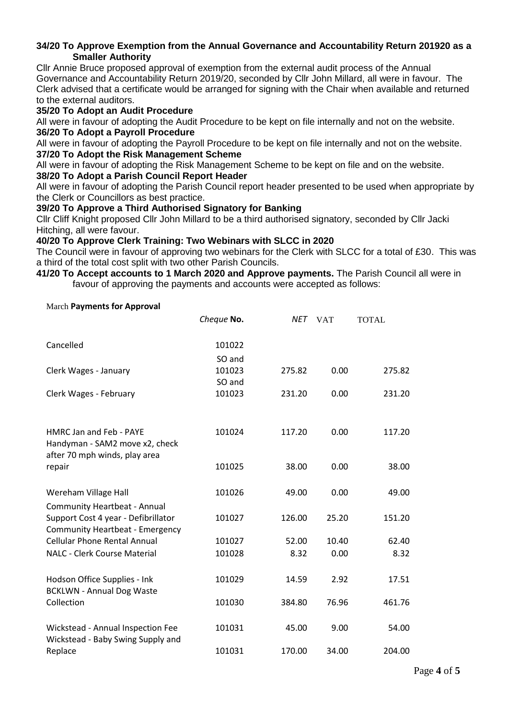#### **34/20 To Approve Exemption from the Annual Governance and Accountability Return 201920 as a Smaller Authority**

Cllr Annie Bruce proposed approval of exemption from the external audit process of the Annual Governance and Accountability Return 2019/20, seconded by Cllr John Millard, all were in favour. The Clerk advised that a certificate would be arranged for signing with the Chair when available and returned to the external auditors.

## **35/20 To Adopt an Audit Procedure**

All were in favour of adopting the Audit Procedure to be kept on file internally and not on the website. **36/20 To Adopt a Payroll Procedure**

All were in favour of adopting the Payroll Procedure to be kept on file internally and not on the website. **37/20 To Adopt the Risk Management Scheme**

All were in favour of adopting the Risk Management Scheme to be kept on file and on the website.

## **38/20 To Adopt a Parish Council Report Header**

All were in favour of adopting the Parish Council report header presented to be used when appropriate by the Clerk or Councillors as best practice.

## **39/20 To Approve a Third Authorised Signatory for Banking**

Cllr Cliff Knight proposed Cllr John Millard to be a third authorised signatory, seconded by Cllr Jacki Hitching, all were favour.

## **40/20 To Approve Clerk Training: Two Webinars with SLCC in 2020**

The Council were in favour of approving two webinars for the Clerk with SLCC for a total of £30. This was a third of the total cost split with two other Parish Councils.

#### **41/20 To Accept accounts to 1 March 2020 and Approve payments.** The Parish Council all were in favour of approving the payments and accounts were accepted as follows:

#### March **Payments for Approval**

|                                                                               | Cheque No. | NET    | <b>VAT</b> | <b>TOTAL</b> |
|-------------------------------------------------------------------------------|------------|--------|------------|--------------|
| Cancelled                                                                     | 101022     |        |            |              |
|                                                                               | SO and     |        |            |              |
| Clerk Wages - January                                                         | 101023     | 275.82 | 0.00       | 275.82       |
|                                                                               | SO and     |        |            |              |
| Clerk Wages - February                                                        | 101023     | 231.20 | 0.00       | 231.20       |
| HMRC Jan and Feb - PAYE                                                       | 101024     | 117.20 | 0.00       | 117.20       |
| Handyman - SAM2 move x2, check<br>after 70 mph winds, play area               |            |        |            |              |
| repair                                                                        | 101025     | 38.00  | 0.00       | 38.00        |
| Wereham Village Hall                                                          | 101026     | 49.00  | 0.00       | 49.00        |
| <b>Community Heartbeat - Annual</b>                                           |            |        |            |              |
| Support Cost 4 year - Defibrillator<br><b>Community Heartbeat - Emergency</b> | 101027     | 126.00 | 25.20      | 151.20       |
| <b>Cellular Phone Rental Annual</b>                                           | 101027     | 52.00  | 10.40      | 62.40        |
| <b>NALC - Clerk Course Material</b>                                           | 101028     | 8.32   | 0.00       | 8.32         |
| Hodson Office Supplies - Ink<br><b>BCKLWN - Annual Dog Waste</b>              | 101029     | 14.59  | 2.92       | 17.51        |
| Collection                                                                    | 101030     | 384.80 | 76.96      | 461.76       |
| Wickstead - Annual Inspection Fee<br>Wickstead - Baby Swing Supply and        | 101031     | 45.00  | 9.00       | 54.00        |
| Replace                                                                       | 101031     | 170.00 | 34.00      | 204.00       |